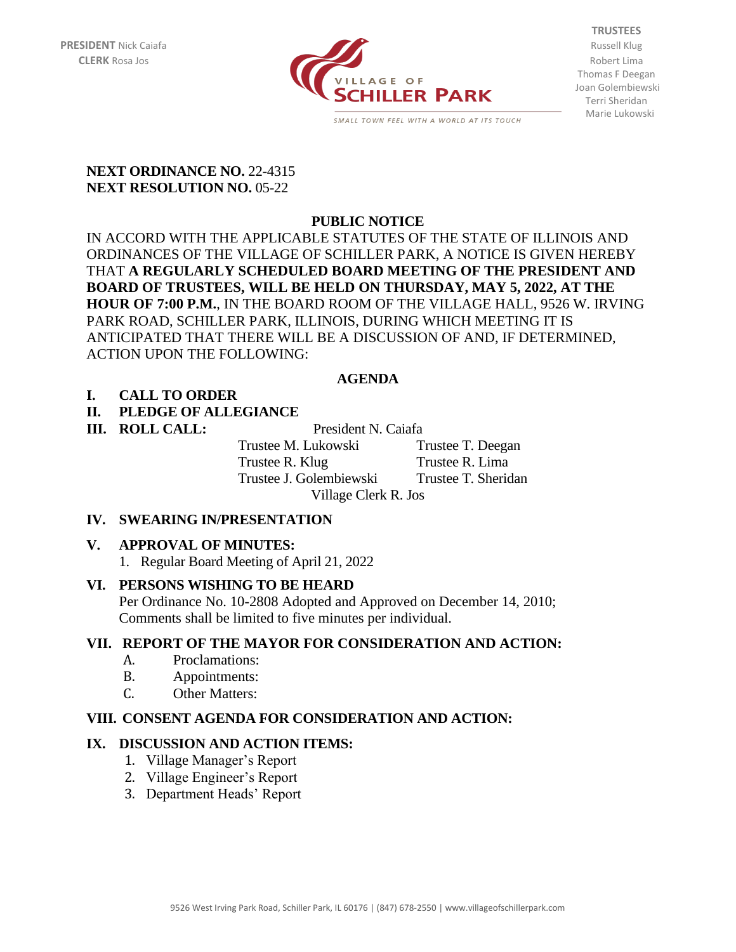

**TRUSTEES** Thomas F Deegan Joan Golembiewski Terri Sheridan Marie Lukowski

#### **NEXT ORDINANCE NO. 22-4315 NEXT RESOLUTION NO. 05-22**

# **PUBLIC NOTICE**

IN ACCORD WITH THE APPLICABLE STATUTES OF THE STATE OF ILLINOIS AND ORDINANCES OF THE VILLAGE OF SCHILLER PARK, A NOTICE IS GIVEN HEREBY THAT **A REGULARLY SCHEDULED BOARD MEETING OF THE PRESIDENT AND BOARD OF TRUSTEES, WILL BE HELD ON THURSDAY, MAY 5, 2022, AT THE HOUR OF 7:00 P.M.**, IN THE BOARD ROOM OF THE VILLAGE HALL, 9526 W. IRVING PARK ROAD, SCHILLER PARK, ILLINOIS, DURING WHICH MEETING IT IS ANTICIPATED THAT THERE WILL BE A DISCUSSION OF AND, IF DETERMINED, ACTION UPON THE FOLLOWING:

## **AGENDA**

## **I. CALL TO ORDER**

## **II. PLEDGE OF ALLEGIANCE**

**III. ROLL CALL:** President N. Caiafa Trustee M. Lukowski Trustee T. Deegan Trustee R. Klug Trustee R. Lima Trustee J. Golembiewski Trustee T. Sheridan Village Clerk R. Jos

## **IV. SWEARING IN/PRESENTATION**

## **V. APPROVAL OF MINUTES:**

1. Regular Board Meeting of April 21, 2022

## **VI. PERSONS WISHING TO BE HEARD**

Per Ordinance No. 10-2808 Adopted and Approved on December 14, 2010; Comments shall be limited to five minutes per individual.

## **VII. REPORT OF THE MAYOR FOR CONSIDERATION AND ACTION:**

- A. Proclamations:
- B. Appointments:
- C. Other Matters:

## **VIII. CONSENT AGENDA FOR CONSIDERATION AND ACTION:**

## **IX. DISCUSSION AND ACTION ITEMS:**

- 1. Village Manager's Report
- 2. Village Engineer's Report
- 3. Department Heads' Report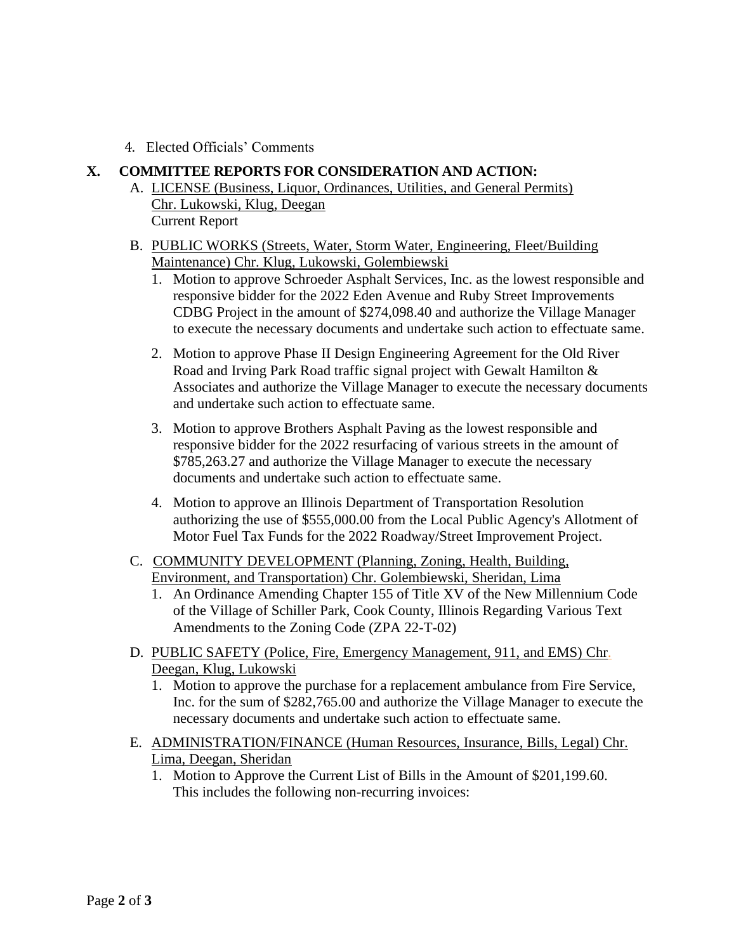4. Elected Officials' Comments

#### **X. COMMITTEE REPORTS FOR CONSIDERATION AND ACTION:**

- A. LICENSE (Business, Liquor, Ordinances, Utilities, and General Permits) Chr. Lukowski, Klug, Deegan Current Report
- B. PUBLIC WORKS (Streets, Water, Storm Water, Engineering, Fleet/Building Maintenance) Chr. Klug, Lukowski, Golembiewski
	- 1. Motion to approve Schroeder Asphalt Services, Inc. as the lowest responsible and responsive bidder for the 2022 Eden Avenue and Ruby Street Improvements CDBG Project in the amount of \$274,098.40 and authorize the Village Manager to execute the necessary documents and undertake such action to effectuate same.
	- 2. Motion to approve Phase II Design Engineering Agreement for the Old River Road and Irving Park Road traffic signal project with Gewalt Hamilton & Associates and authorize the Village Manager to execute the necessary documents and undertake such action to effectuate same.
	- 3. Motion to approve Brothers Asphalt Paving as the lowest responsible and responsive bidder for the 2022 resurfacing of various streets in the amount of \$785,263.27 and authorize the Village Manager to execute the necessary documents and undertake such action to effectuate same.
	- 4. Motion to approve an Illinois Department of Transportation Resolution authorizing the use of \$555,000.00 from the Local Public Agency's Allotment of Motor Fuel Tax Funds for the 2022 Roadway/Street Improvement Project.
- C. COMMUNITY DEVELOPMENT (Planning, Zoning, Health, Building, Environment, and Transportation) Chr. Golembiewski, Sheridan, Lima
	- 1. An Ordinance Amending Chapter 155 of Title XV of the New Millennium Code of the Village of Schiller Park, Cook County, Illinois Regarding Various Text Amendments to the Zoning Code (ZPA 22-T-02)
- D. PUBLIC SAFETY (Police, Fire, Emergency Management, 911, and EMS) Chr. Deegan, Klug, Lukowski
	- 1. Motion to approve the purchase for a replacement ambulance from Fire Service, Inc. for the sum of \$282,765.00 and authorize the Village Manager to execute the necessary documents and undertake such action to effectuate same.
- E. ADMINISTRATION/FINANCE (Human Resources, Insurance, Bills, Legal) Chr. Lima, Deegan, Sheridan
	- 1. Motion to Approve the Current List of Bills in the Amount of \$201,199.60. This includes the following non-recurring invoices: